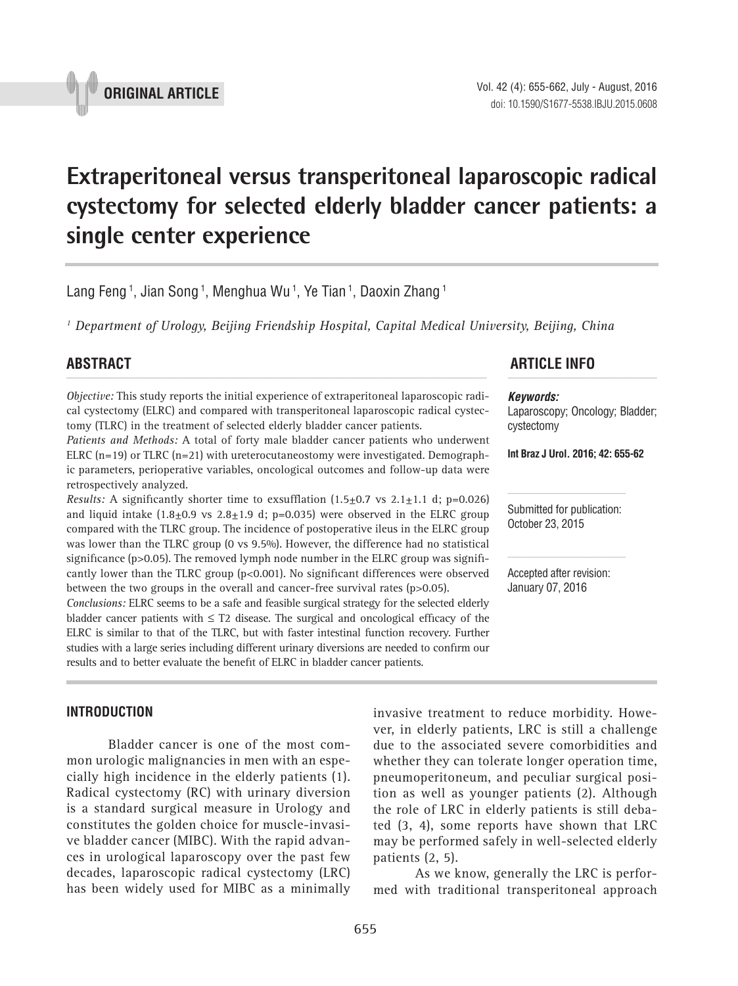

# **Extraperitoneal versus transperitoneal laparoscopic radical cystectomy for selected elderly bladder cancer patients: a single center experience \_\_\_\_\_\_\_\_\_\_\_\_\_\_\_\_\_\_\_\_\_\_\_\_\_\_\_\_\_\_\_\_\_\_\_\_\_\_\_\_\_\_\_\_\_\_\_**

Lang Feng<sup>1</sup>, Jian Song<sup>1</sup>, Menghua Wu<sup>1</sup>, Ye Tian<sup>1</sup>, Daoxin Zhang<sup>1</sup>

*1 Department of Urology, Beijing Friendship Hospital, Capital Medical University, Beijing, China*

*Objective:* This study reports the initial experience of extraperitoneal laparoscopic radical cystectomy (ELRC) and compared with transperitoneal laparoscopic radical cystectomy (TLRC) in the treatment of selected elderly bladder cancer patients.

*Patients and Methods:* A total of forty male bladder cancer patients who underwent ELRC ( $n=19$ ) or TLRC ( $n=21$ ) with ureterocutaneostomy were investigated. Demographic parameters, perioperative variables, oncological outcomes and follow-up data were retrospectively analyzed.

*Results:* A significantly shorter time to exsufflation  $(1.5+0.7 \text{ vs } 2.1+1.1 \text{ d}; \text{p}=0.026)$ and liquid intake  $(1.8 \pm 0.9 \text{ vs } 2.8 \pm 1.9 \text{ d}; \text{ p=0.035})$  were observed in the ELRC group compared with the TLRC group. The incidence of postoperative ileus in the ELRC group was lower than the TLRC group (0 vs 9.5%). However, the difference had no statistical significance ( $p > 0.05$ ). The removed lymph node number in the ELRC group was significantly lower than the TLRC group (p<0.001). No significant differences were observed between the two groups in the overall and cancer-free survival rates (p>0.05).

*Conclusions:* ELRC seems to be a safe and feasible surgical strategy for the selected elderly bladder cancer patients with  $\leq$  T2 disease. The surgical and oncological efficacy of the ELRC is similar to that of the TLRC, but with faster intestinal function recovery. Further studies with a large series including different urinary diversions are needed to confirm our results and to better evaluate the benefit of ELRC in bladder cancer patients.

# **INTRODUCTION**

Bladder cancer is one of the most common urologic malignancies in men with an especially high incidence in the elderly patients (1). Radical cystectomy (RC) with urinary diversion is a standard surgical measure in Urology and constitutes the golden choice for muscle-invasive bladder cancer (MIBC). With the rapid advances in urological laparoscopy over the past few decades, laparoscopic radical cystectomy (LRC) has been widely used for MIBC as a minimally

# **ABSTRACT ARTICLE INFO** *\_\_\_\_\_\_\_\_\_\_\_\_\_\_\_\_\_\_\_\_\_\_\_\_\_\_\_\_\_\_\_\_\_\_\_\_\_\_\_\_\_\_\_\_\_\_\_\_\_\_\_\_\_\_\_\_\_\_\_\_\_\_ \_\_\_\_\_\_\_\_\_\_\_\_\_\_\_\_\_\_\_\_\_\_*

*Keywords:* Laparoscopy; Oncology; Bladder; cystectomy

**Int Braz J Urol. 2016; 42: 655-62**

Submitted for publication: October 23, 2015

Accepted after revision: January 07, 2016

invasive treatment to reduce morbidity. However, in elderly patients, LRC is still a challenge due to the associated severe comorbidities and whether they can tolerate longer operation time, pneumoperitoneum, and peculiar surgical position as well as younger patients (2). Although the role of LRC in elderly patients is still debated (3, 4), some reports have shown that LRC may be performed safely in well-selected elderly patients (2, 5).

As we know, generally the LRC is performed with traditional transperitoneal approach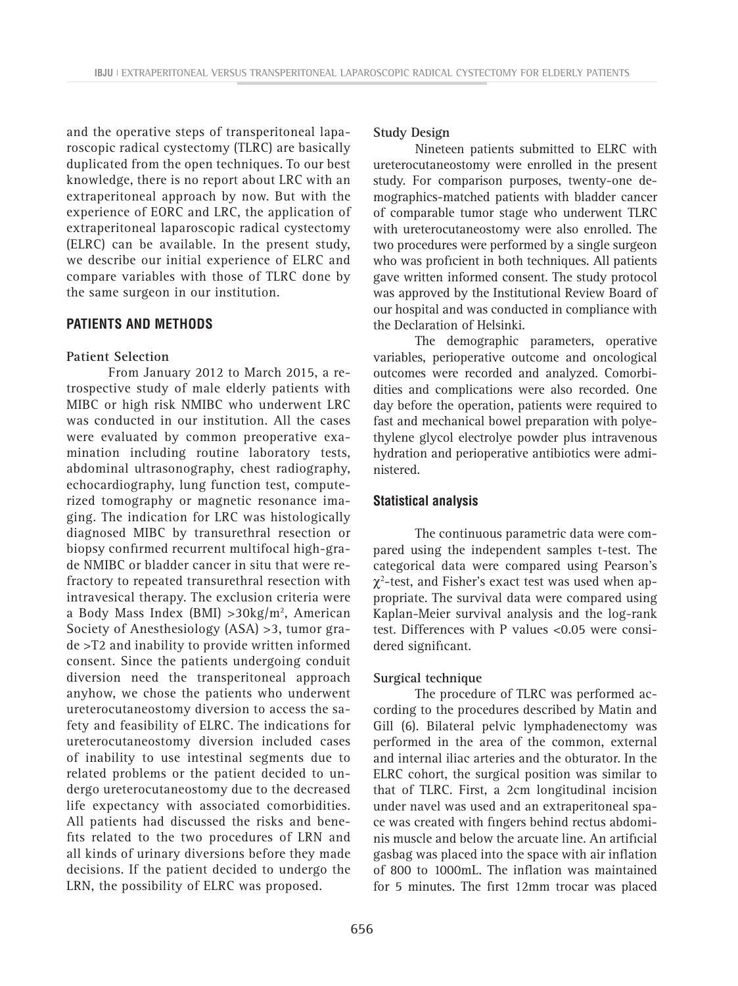and the operative steps of transperitoneal laparoscopic radical cystectomy (TLRC) are basically duplicated from the open techniques. To our best knowledge, there is no report about LRC with an extraperitoneal approach by now. But with the experience of EORC and LRC, the application of extraperitoneal laparoscopic radical cystectomy (ELRC) can be available. In the present study, we describe our initial experience of ELRC and compare variables with those of TLRC done by the same surgeon in our institution.

# **PATIENTS AND METHODS**

# **Patient Selection**

From January 2012 to March 2015, a retrospective study of male elderly patients with MIBC or high risk NMIBC who underwent LRC was conducted in our institution. All the cases were evaluated by common preoperative examination including routine laboratory tests, abdominal ultrasonography, chest radiography, echocardiography, lung function test, computerized tomography or magnetic resonance imaging. The indication for LRC was histologically diagnosed MIBC by transurethral resection or biopsy confirmed recurrent multifocal high-grade NMIBC or bladder cancer in situ that were refractory to repeated transurethral resection with intravesical therapy. The exclusion criteria were a Body Mass Index (BMI) >30kg/m2 , American Society of Anesthesiology (ASA) >3, tumor grade >T2 and inability to provide written informed consent. Since the patients undergoing conduit diversion need the transperitoneal approach anyhow, we chose the patients who underwent ureterocutaneostomy diversion to access the safety and feasibility of ELRC. The indications for ureterocutaneostomy diversion included cases of inability to use intestinal segments due to related problems or the patient decided to undergo ureterocutaneostomy due to the decreased life expectancy with associated comorbidities. All patients had discussed the risks and benefits related to the two procedures of LRN and all kinds of urinary diversions before they made decisions. If the patient decided to undergo the LRN, the possibility of ELRC was proposed.

# **Study Design**

Nineteen patients submitted to ELRC with ureterocutaneostomy were enrolled in the present study. For comparison purposes, twenty-one demographics-matched patients with bladder cancer of comparable tumor stage who underwent TLRC with ureterocutaneostomy were also enrolled. The two procedures were performed by a single surgeon who was proficient in both techniques. All patients gave written informed consent. The study protocol was approved by the Institutional Review Board of our hospital and was conducted in compliance with the Declaration of Helsinki.

The demographic parameters, operative variables, perioperative outcome and oncological outcomes were recorded and analyzed. Comorbidities and complications were also recorded. One day before the operation, patients were required to fast and mechanical bowel preparation with polyethylene glycol electrolye powder plus intravenous hydration and perioperative antibiotics were administered.

# **Statistical analysis**

The continuous parametric data were compared using the independent samples t-test. The categorical data were compared using Pearson's  $\chi^2$ -test, and Fisher's exact test was used when appropriate. The survival data were compared using Kaplan-Meier survival analysis and the log-rank test. Differences with P values <0.05 were considered significant.

# **Surgical technique**

The procedure of TLRC was performed according to the procedures described by Matin and Gill (6). Bilateral pelvic lymphadenectomy was performed in the area of the common, external and internal iliac arteries and the obturator. In the ELRC cohort, the surgical position was similar to that of TLRC. First, a 2cm longitudinal incision under navel was used and an extraperitoneal space was created with fingers behind rectus abdominis muscle and below the arcuate line. An artificial gasbag was placed into the space with air inflation of 800 to 1000mL. The inflation was maintained for 5 minutes. The first 12mm trocar was placed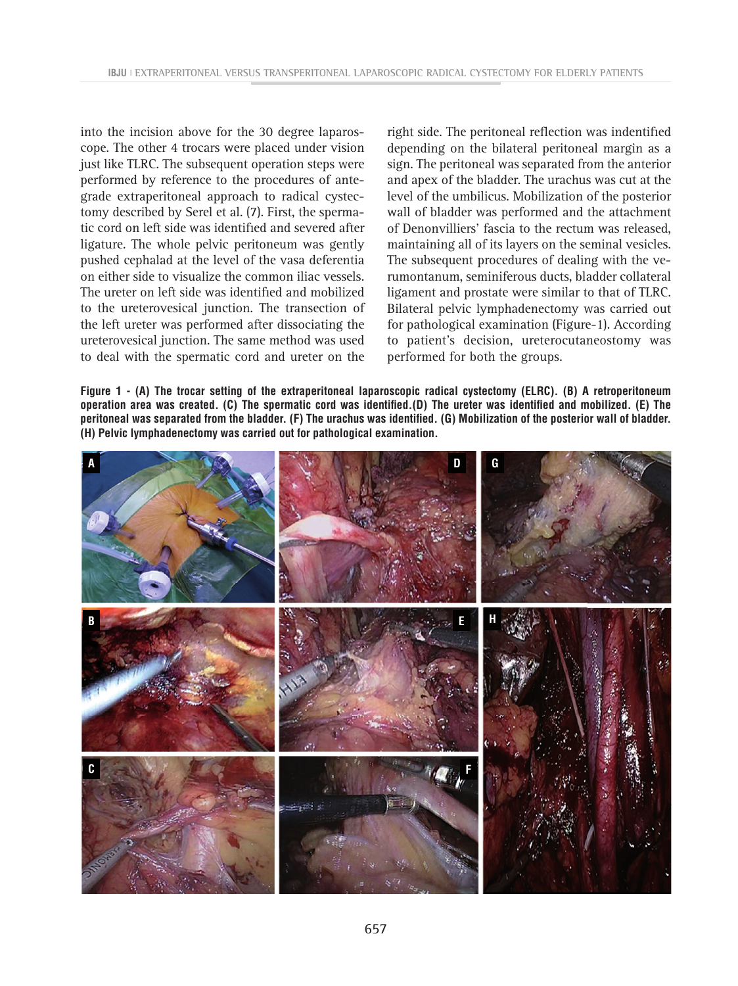into the incision above for the 30 degree laparoscope. The other 4 trocars were placed under vision just like TLRC. The subsequent operation steps were performed by reference to the procedures of antegrade extraperitoneal approach to radical cystectomy described by Serel et al. (7). First, the spermatic cord on left side was identified and severed after ligature. The whole pelvic peritoneum was gently pushed cephalad at the level of the vasa deferentia on either side to visualize the common iliac vessels. The ureter on left side was identified and mobilized to the ureterovesical junction. The transection of the left ureter was performed after dissociating the ureterovesical junction. The same method was used to deal with the spermatic cord and ureter on the right side. The peritoneal reflection was indentified de pending on the bilateral peritoneal margin as a sign. The peritoneal was separated from the anterior and apex of the bladder. The urachus was cut at the level of the umbilicus. Mobilization of the posterior wall of bladder was performed and the attachment of Denonvilliers' fascia to the rectum was released, maintaining all of its layers on the seminal vesicles. The subsequent procedures of dealing with the verumontanum, seminiferous ducts, bladder collateral ligament and prostate were similar to that of TLRC. Bilateral pelvic lymphadenectomy was carried out for pathological examination (Figure-1). According to patient's decision, ureterocutaneostomy was performed for both the groups.

**figure 1 - (A) The trocar setting of the extraperitoneal laparoscopic radical cystectomy (ELRC). (b) A retroperitoneum**  operation area was created. (C) The spermatic cord was identified.(D) The ureter was identified and mobilized. (E) The peritoneal was separated from the bladder. (F) The urachus was identified. (G) Mobilization of the posterior wall of bladder. **(h) pelvic lymphadenectomy was carried out for pathological examination.**

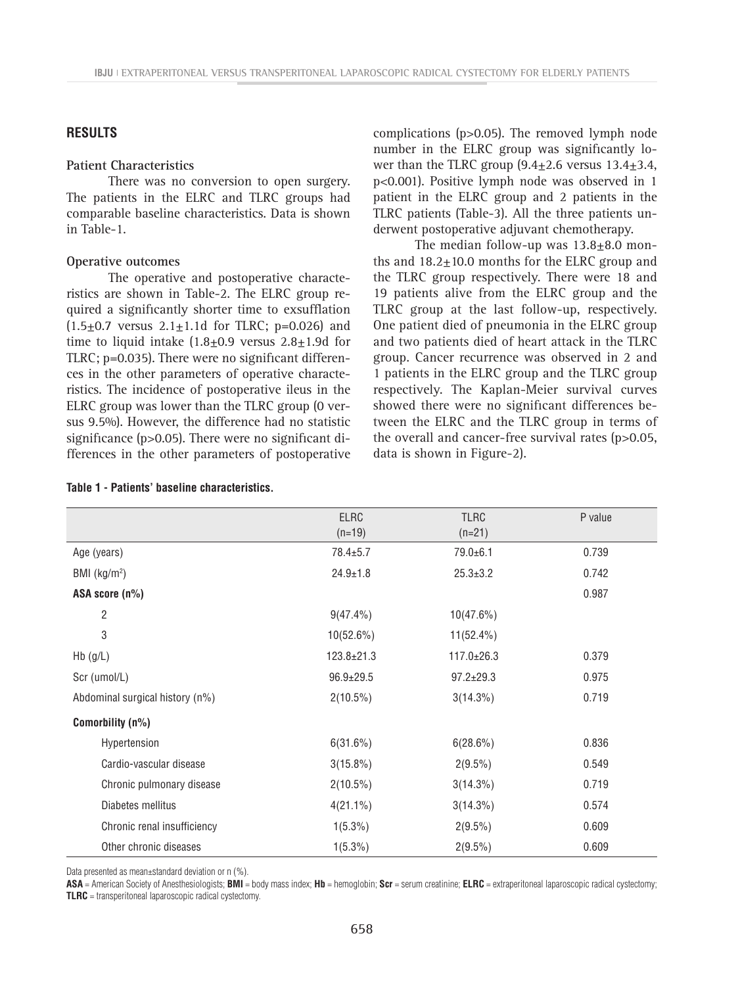# **RESULTS**

### **Patient Characteristics**

There was no conversion to open surgery. The patients in the ELRC and TLRC groups had comparable baseline characteristics. Data is shown in Table-1.

# **Operative outcomes**

The operative and postoperative characteristics are shown in Table-2. The ELRC group required a significantly shorter time to exsufflation  $(1.5\pm0.7)$  versus  $2.1\pm1.1d$  for TLRC; p=0.026) and time to liquid intake  $(1.8+0.9$  versus  $2.8+1.9d$  for TLRC; p=0.035). There were no significant differences in the other parameters of operative characteristics. The incidence of postoperative ileus in the ELRC group was lower than the TLRC group (0 versus 9.5%). However, the difference had no statistic significance (p>0.05). There were no significant differences in the other parameters of postoperative

#### **Table 1 - Patients' baseline characteristics.**

complications (p>0.05). The removed lymph node number in the ELRC group was significantly lower than the TLRC group  $(9.4 \pm 2.6 \text{ versus } 13.4 \pm 3.4,$ p<0.001). Positive lymph node was observed in 1 patient in the ELRC group and 2 patients in the TLRC patients (Table-3). All the three patients underwent postoperative adjuvant chemotherapy.

The median follow-up was  $13.8\pm8.0$  months and  $18.2 \pm 10.0$  months for the ELRC group and the TLRC group respectively. There were 18 and 19 patients alive from the ELRC group and the TLRC group at the last follow-up, respectively. One patient died of pneumonia in the ELRC group and two patients died of heart attack in the TLRC group. Cancer recurrence was observed in 2 and 1 patients in the ELRC group and the TLRC group respectively. The Kaplan-Meier survival curves showed there were no significant differences between the ELRC and the TLRC group in terms of the overall and cancer-free survival rates (p>0.05, data is shown in Figure-2).

|                                 | <b>ELRC</b><br>$(n=19)$ | <b>TLRC</b><br>$(n=21)$ | P value |
|---------------------------------|-------------------------|-------------------------|---------|
| Age (years)                     | 78.4±5.7                | 79.0±6.1                | 0.739   |
| BMI $(kg/m2)$                   | $24.9 \pm 1.8$          | $25.3 \pm 3.2$          | 0.742   |
| ASA score (n%)                  |                         |                         | 0.987   |
| $\mathbf{2}$                    | $9(47.4\%)$             | 10(47.6%)               |         |
| 3                               | $10(52.6\%)$            | $11(52.4\%)$            |         |
| $Hb$ (g/L)                      | $123.8 \pm 21.3$        | $117.0 \pm 26.3$        | 0.379   |
| Scr (umol/L)                    | $96.9 \pm 29.5$         | $97.2 \pm 29.3$         | 0.975   |
| Abdominal surgical history (n%) | $2(10.5\%)$             | $3(14.3\%)$             | 0.719   |
| Comorbility (n%)                |                         |                         |         |
| Hypertension                    | 6(31.6%)                | 6(28.6%)                | 0.836   |
| Cardio-vascular disease         | $3(15.8\%)$             | $2(9.5\%)$              | 0.549   |
| Chronic pulmonary disease       | $2(10.5\%)$             | $3(14.3\%)$             | 0.719   |
| Diabetes mellitus               | $4(21.1\%)$             | $3(14.3\%)$             | 0.574   |
| Chronic renal insufficiency     | $1(5.3\%)$              | $2(9.5\%)$              | 0.609   |
| Other chronic diseases          | $1(5.3\%)$              | $2(9.5\%)$              | 0.609   |

Data presented as mean±standard deviation or n (%).

**ASA** = American Society of Anesthesiologists; **BMI** = body mass index; **Hb** = hemoglobin; **Scr** = serum creatinine; **ELRC** = extraperitoneal laparoscopic radical cystectomy;

**TLRC** = transperitoneal laparoscopic radical cystectomy.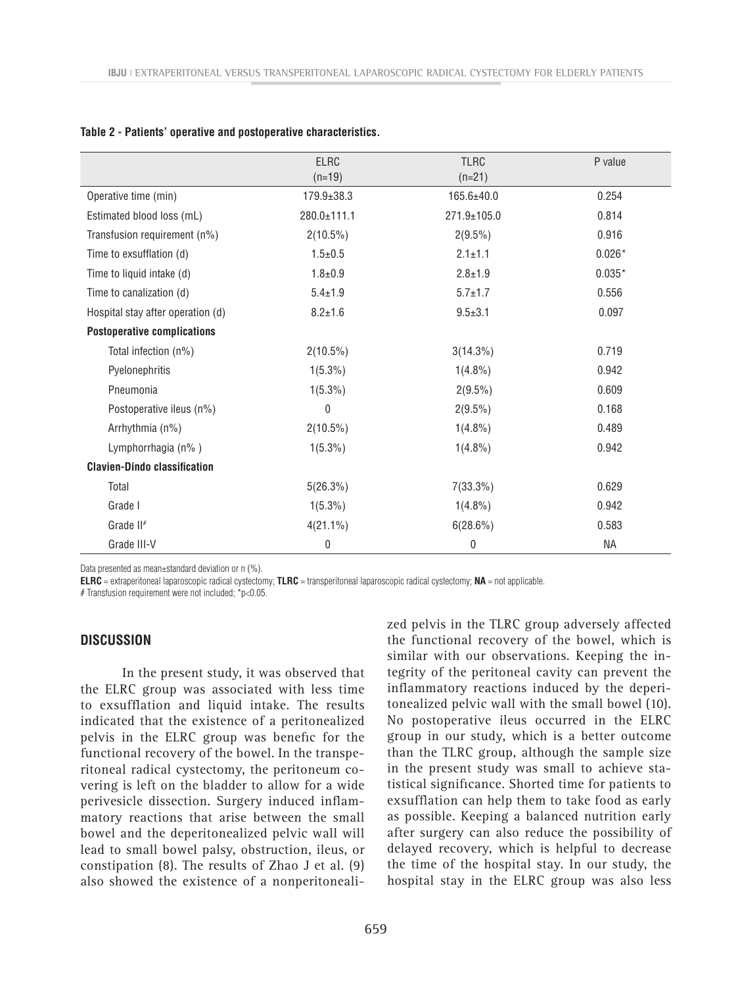|                                     | <b>ELRC</b>   | <b>TLRC</b>       | P value  |
|-------------------------------------|---------------|-------------------|----------|
|                                     | $(n=19)$      | $(n=21)$          |          |
| Operative time (min)                | 179.9±38.3    | 165.6±40.0        | 0.254    |
| Estimated blood loss (mL)           | 280.0±111.1   | $271.9 \pm 105.0$ | 0.814    |
| Transfusion requirement (n%)        | $2(10.5\%)$   | $2(9.5\%)$        | 0.916    |
| Time to exsufflation (d)            | $1.5 \pm 0.5$ | $2.1 \pm 1.1$     | $0.026*$ |
| Time to liquid intake (d)           | $1.8 + 0.9$   | $2.8 \pm 1.9$     | $0.035*$ |
| Time to canalization (d)            | $5.4 \pm 1.9$ | $5.7 \pm 1.7$     | 0.556    |
| Hospital stay after operation (d)   | $8.2 \pm 1.6$ | $9.5 \pm 3.1$     | 0.097    |
| <b>Postoperative complications</b>  |               |                   |          |
| Total infection (n%)                | $2(10.5\%)$   | $3(14.3\%)$       | 0.719    |
| Pyelonephritis                      | $1(5.3\%)$    | $1(4.8\%)$        | 0.942    |
| Pneumonia                           | $1(5.3\%)$    | $2(9.5\%)$        | 0.609    |
| Postoperative ileus (n%)            | 0             | $2(9.5\%)$        | 0.168    |
| Arrhythmia (n%)                     | $2(10.5\%)$   | $1(4.8\%)$        | 0.489    |
| Lymphorrhagia (n%)                  | $1(5.3\%)$    | $1(4.8\%)$        | 0.942    |
| <b>Clavien-Dindo classification</b> |               |                   |          |
| Total                               | 5(26.3%)      | $7(33.3\%)$       | 0.629    |
| Grade I                             | $1(5.3\%)$    | $1(4.8\%)$        | 0.942    |
| Grade II <sup>#</sup>               | $4(21.1\%)$   | 6(28.6%)          | 0.583    |
| Grade III-V                         | 0             | 0                 | ΝA       |

#### **Table 2 - Patients' operative and postoperative characteristics.**

Data presented as mean±standard deviation or n (%).

**ELRC** = extraperitoneal laparoscopic radical cystectomy; **TLRC** = transperitoneal laparoscopic radical cystectomy; **NA** = not applicable.

# Transfusion requirement were not included; \*p<0.05.

# **DISCUSSION**

In the present study, it was observed that the ELRC group was associated with less time to exsufflation and liquid intake. The results indicated that the existence of a peritonealized pelvis in the ELRC group was benefic for the functional recovery of the bowel. In the transperitoneal radical cystectomy, the peritoneum covering is left on the bladder to allow for a wide perivesicle dissection. Surgery induced inflammatory reactions that arise between the small bowel and the deperitonealized pelvic wall will lead to small bowel palsy, obstruction, ileus, or constipation (8). The results of Zhao J et al. (9) also showed the existence of a nonperitonealized pelvis in the TLRC group adversely affected the functional recovery of the bowel, which is similar with our observations. Keeping the integrity of the peritoneal cavity can prevent the inflammatory reactions induced by the deperitonealized pelvic wall with the small bowel (10). No postoperative ileus occurred in the ELRC group in our study, which is a better outcome than the TLRC group, although the sample size in the present study was small to achieve statistical significance. Shorted time for patients to exsufflation can help them to take food as early as possible. Keeping a balanced nutrition early after surgery can also reduce the possibility of delayed recovery, which is helpful to decrease the time of the hospital stay. In our study, the hospital stay in the ELRC group was also less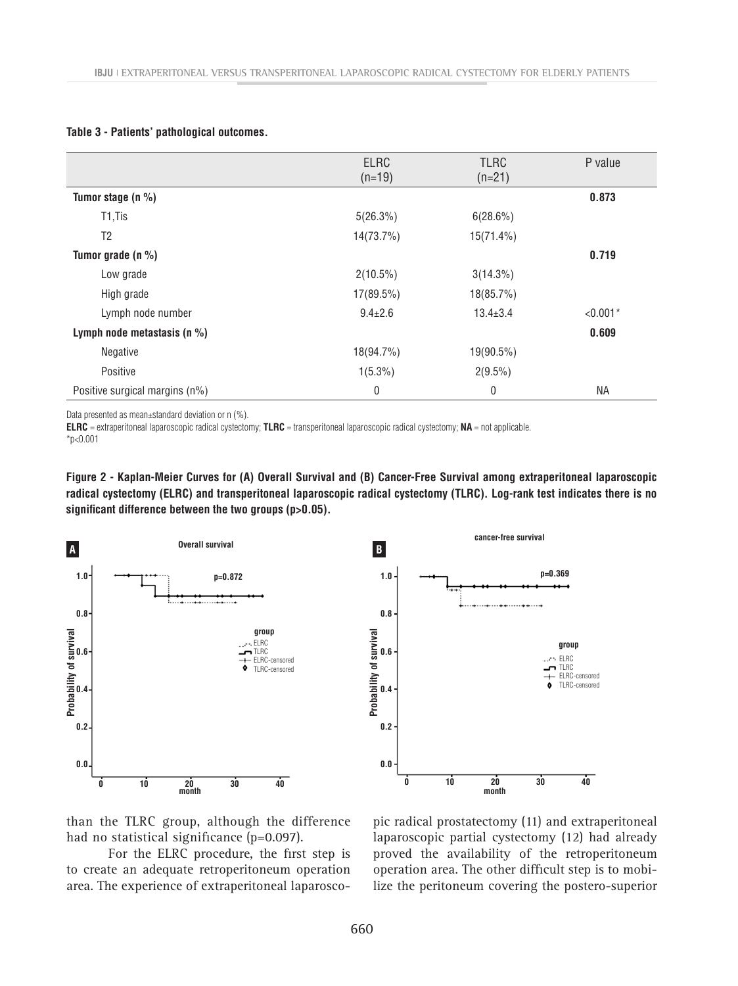|                                | <b>ELRC</b><br>$(n=19)$ | <b>TLRC</b><br>$(n=21)$ | P value    |
|--------------------------------|-------------------------|-------------------------|------------|
| Tumor stage $(n %)$            |                         |                         | 0.873      |
| T1, Tis                        | $5(26.3\%)$             | $6(28.6\%)$             |            |
| T <sub>2</sub>                 | 14(73.7%)               | $15(71.4\%)$            |            |
| Tumor grade $(n %)$            |                         |                         | 0.719      |
| Low grade                      | $2(10.5\%)$             | $3(14.3\%)$             |            |
| High grade                     | 17(89.5%)               | 18(85.7%)               |            |
| Lymph node number              | $9.4 \pm 2.6$           | $13.4 \pm 3.4$          | $< 0.001*$ |
| Lymph node metastasis (n %)    |                         |                         | 0.609      |
| Negative                       | 18(94.7%)               | $19(90.5\%)$            |            |
| Positive                       | $1(5.3\%)$              | $2(9.5\%)$              |            |
| Positive surgical margins (n%) | 0                       | 0                       | ΝA         |

### **Table 3 - Patients' pathological outcomes.**

Data presented as mean±standard deviation or n (%).

**ELRC** = extraperitoneal laparoscopic radical cystectomy; **TLRC** = transperitoneal laparoscopic radical cystectomy; **NA** = not applicable.

 $*p<0.001$ 

**Figure 2 - Kaplan-Meier Curves for (A) Overall Survival and (B) Cancer-Free Survival among extraperitoneal laparoscopic radical cystectomy (ELRC) and transperitoneal laparoscopic radical cystectomy (TLRC). Log-rank test indicates there is no significant difference between the two groups (p>0.05).**





than the TLRC group, although the difference had no statistical significance (p=0.097).

For the ELRC procedure, the first step is to create an adequate retroperitoneum operation area. The experience of extraperitoneal laparoscopic radical prostatectomy (11) and extraperitoneal laparoscopic partial cystectomy (12) had already proved the availability of the retroperitoneum operation area. The other difficult step is to mobilize the peritoneum covering the postero-superior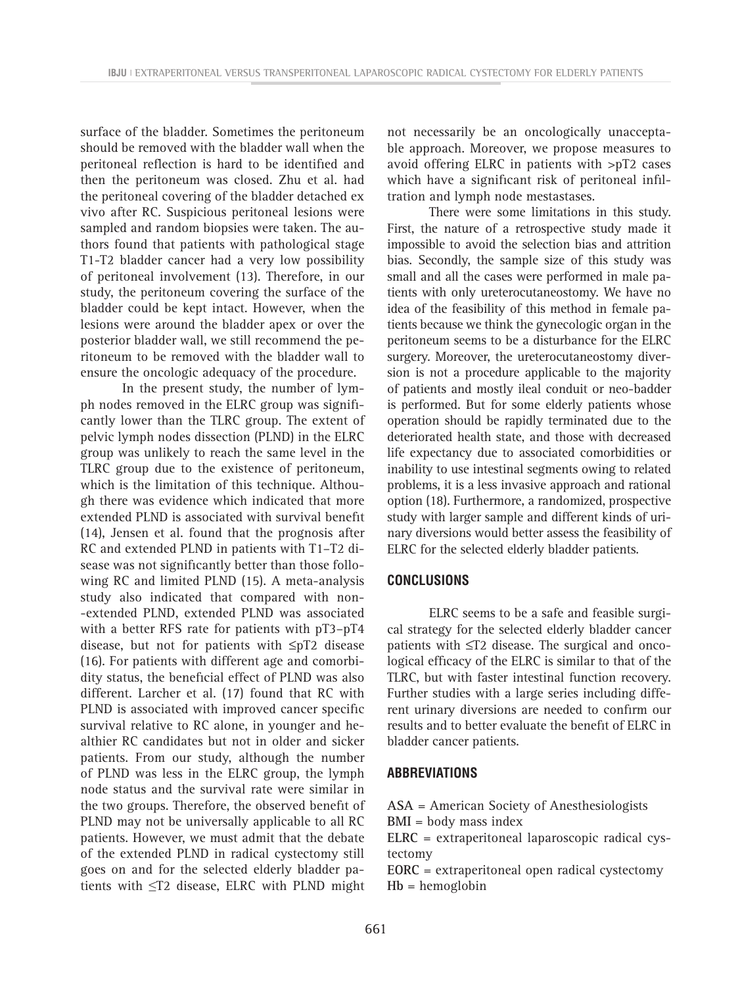surface of the bladder. Sometimes the peritoneum should be removed with the bladder wall when the peritoneal reflection is hard to be identified and then the peritoneum was closed. Zhu et al. had the peritoneal covering of the bladder detached ex vivo after RC. Suspicious peritoneal lesions were sampled and random biopsies were taken. The authors found that patients with pathological stage T1-T2 bladder cancer had a very low possibility of peritoneal involvement (13). Therefore, in our study, the peritoneum covering the surface of the bladder could be kept intact. However, when the lesions were around the bladder apex or over the posterior bladder wall, we still recommend the peritoneum to be removed with the bladder wall to ensure the oncologic adequacy of the procedure.

In the present study, the number of lymph nodes removed in the ELRC group was significantly lower than the TLRC group. The extent of pelvic lymph nodes dissection (PLND) in the ELRC group was unlikely to reach the same level in the TLRC group due to the existence of peritoneum, which is the limitation of this technique. Although there was evidence which indicated that more extended PLND is associated with survival benefit (14), Jensen et al. found that the prognosis after RC and extended PLND in patients with T1–T2 disease was not significantly better than those following RC and limited PLND (15). A meta-analysis study also indicated that compared with non- -extended PLND, extended PLND was associated with a better RFS rate for patients with pT3–pT4 disease, but not for patients with ≤pT2 disease (16). For patients with different age and comorbidity status, the beneficial effect of PLND was also different. Larcher et al. (17) found that RC with PLND is associated with improved cancer specific survival relative to RC alone, in younger and healthier RC candidates but not in older and sicker patients. From our study, although the number of PLND was less in the ELRC group, the lymph node status and the survival rate were similar in the two groups. Therefore, the observed benefit of PLND may not be universally applicable to all RC patients. However, we must admit that the debate of the extended PLND in radical cystectomy still goes on and for the selected elderly bladder patients with ≤T2 disease, ELRC with PLND might not necessarily be an oncologically unacceptable approach. Moreover, we propose measures to avoid offering ELRC in patients with >pT2 cases which have a significant risk of peritoneal infiltration and lymph node mestastases.

There were some limitations in this study. First, the nature of a retrospective study made it impossible to avoid the selection bias and attrition bias. Secondly, the sample size of this study was small and all the cases were performed in male patients with only ureterocutaneostomy. We have no idea of the feasibility of this method in female patients because we think the gynecologic organ in the peritoneum seems to be a disturbance for the ELRC surgery. Moreover, the ureterocutaneostomy diversion is not a procedure applicable to the majority of patients and mostly ileal conduit or neo-badder is performed. But for some elderly patients whose operation should be rapidly terminated due to the deteriorated health state, and those with decreased life expectancy due to associated comorbidities or inability to use intestinal segments owing to related problems, it is a less invasive approach and rational option (18). Furthermore, a randomized, prospective study with larger sample and different kinds of urinary diversions would better assess the feasibility of ELRC for the selected elderly bladder patients.

# **CONCLUSIONS**

ELRC seems to be a safe and feasible surgical strategy for the selected elderly bladder cancer patients with ≤T2 disease. The surgical and oncological efficacy of the ELRC is similar to that of the TLRC, but with faster intestinal function recovery. Further studies with a large series including different urinary diversions are needed to confirm our results and to better evaluate the benefit of ELRC in bladder cancer patients.

# **Abbreviations**

**ASA** = American Society of Anesthesiologists

**BMI** = body mass index

**ELRC** = extraperitoneal laparoscopic radical cystectomy

**EORC** = extraperitoneal open radical cystectomy **Hb** = hemoglobin